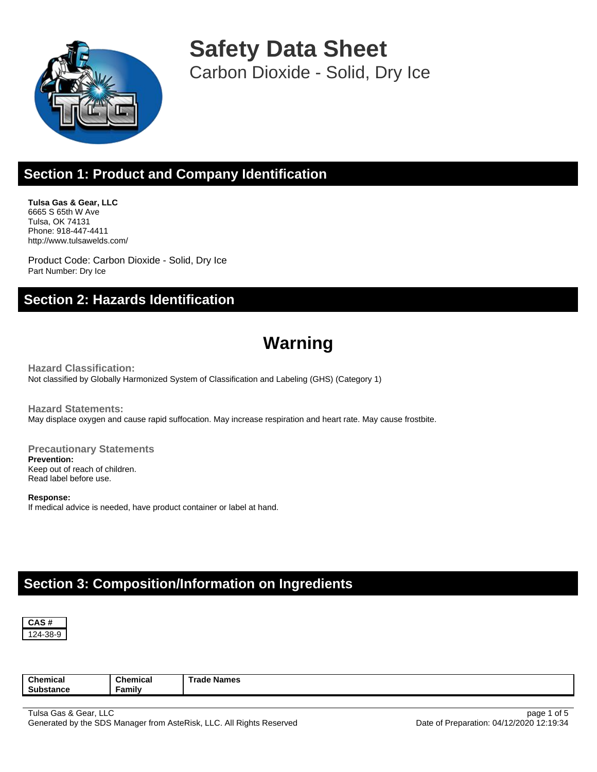

**Safety Data Sheet** Carbon Dioxide - Solid, Dry Ice

## **Section 1: Product and Company Identification**

**Tulsa Gas & Gear, LLC** 6665 S 65th W Ave Tulsa, OK 74131 Phone: 918-447-4411 http://www.tulsawelds.com/

Product Code: Carbon Dioxide - Solid, Dry Ice Part Number: Dry Ice

#### **Section 2: Hazards Identification**

# **Warning**

**Hazard Classification:** Not classified by Globally Harmonized System of Classification and Labeling (GHS) (Category 1)

**Hazard Statements:** May displace oxygen and cause rapid suffocation. May increase respiration and heart rate. May cause frostbite.

**Precautionary Statements Prevention:** Keep out of reach of children. Read label before use.

**Response:** If medical advice is needed, have product container or label at hand.

### **Section 3: Composition/Information on Ingredients**



**Chemical Substance Chemical Family Trade Names**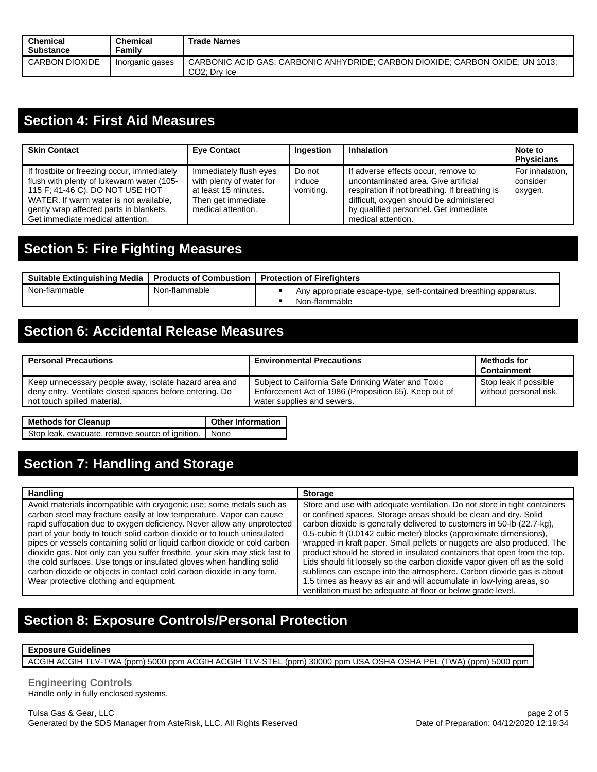| <b>Chemical</b><br>Substance | Chemical<br>Familv | <b>Trade Names</b>                                                                                         |
|------------------------------|--------------------|------------------------------------------------------------------------------------------------------------|
| CARBON DIOXIDE               | Inorganic gases    | CARBONIC ACID GAS: CARBONIC ANHYDRIDE: CARBON DIOXIDE: CARBON OXIDE: UN 1013:<br>CO <sub>2</sub> ; Dry Ice |

#### **Section 4: First Aid Measures**

| <b>Skin Contact</b>                                                                                                                                                                                                                                  | <b>Eye Contact</b>                                                                                                     | Ingestion                     | <b>Inhalation</b>                                                                                                                                                                                                                       | Note to<br><b>Physicians</b>           |
|------------------------------------------------------------------------------------------------------------------------------------------------------------------------------------------------------------------------------------------------------|------------------------------------------------------------------------------------------------------------------------|-------------------------------|-----------------------------------------------------------------------------------------------------------------------------------------------------------------------------------------------------------------------------------------|----------------------------------------|
| If frostbite or freezing occur, immediately<br>flush with plenty of lukewarm water (105-<br>115 F; 41-46 C). DO NOT USE HOT<br>WATER. If warm water is not available,<br>gently wrap affected parts in blankets.<br>Get immediate medical attention. | Immediately flush eyes<br>with plenty of water for<br>at least 15 minutes.<br>Then get immediate<br>medical attention. | Do not<br>induce<br>vomiting. | If adverse effects occur, remove to<br>uncontaminated area. Give artificial<br>respiration if not breathing. If breathing is<br>difficult, oxygen should be administered<br>by qualified personnel. Get immediate<br>medical attention. | For inhalation,<br>consider<br>oxygen. |

### **Section 5: Fire Fighting Measures**

| <b>Suitable Extinguishing Media</b><br><b>Products of Combustion I</b> |               | <b>Protection of Firefighters</b>                                                 |  |  |
|------------------------------------------------------------------------|---------------|-----------------------------------------------------------------------------------|--|--|
| Non-flammable                                                          | Non-flammable | Any appropriate escape-type, self-contained breathing apparatus.<br>Non-flammable |  |  |

#### **Section 6: Accidental Release Measures**

| <b>Personal Precautions</b>                                                                                                                     | <b>Environmental Precautions</b>                                                                                                           | <b>Methods for</b><br>Containment               |
|-------------------------------------------------------------------------------------------------------------------------------------------------|--------------------------------------------------------------------------------------------------------------------------------------------|-------------------------------------------------|
| Keep unnecessary people away, isolate hazard area and<br>deny entry. Ventilate closed spaces before entering. Do<br>not touch spilled material. | Subject to California Safe Drinking Water and Toxic<br>Enforcement Act of 1986 (Proposition 65). Keep out of<br>water supplies and sewers. | Stop leak if possible<br>without personal risk. |

| <b>Methods for Cleanup</b>                           | <b>Other Information</b> |
|------------------------------------------------------|--------------------------|
| Stop leak, evacuate, remove source of ignition. None |                          |

# **Section 7: Handling and Storage**

| <b>Handling</b>                                                                                                                                                                                                                                                                                                                                                                                                                                                                                                                                                                                                                                            | <b>Storage</b>                                                                                                                                                                                                                                                                                                                                                                                                                                                                                                                                                                                                                                                                                                                                    |
|------------------------------------------------------------------------------------------------------------------------------------------------------------------------------------------------------------------------------------------------------------------------------------------------------------------------------------------------------------------------------------------------------------------------------------------------------------------------------------------------------------------------------------------------------------------------------------------------------------------------------------------------------------|---------------------------------------------------------------------------------------------------------------------------------------------------------------------------------------------------------------------------------------------------------------------------------------------------------------------------------------------------------------------------------------------------------------------------------------------------------------------------------------------------------------------------------------------------------------------------------------------------------------------------------------------------------------------------------------------------------------------------------------------------|
| Avoid materials incompatible with cryogenic use; some metals such as<br>carbon steel may fracture easily at low temperature. Vapor can cause<br>rapid suffocation due to oxygen deficiency. Never allow any unprotected<br>part of your body to touch solid carbon dioxide or to touch uninsulated<br>pipes or vessels containing solid or liquid carbon dioxide or cold carbon<br>dioxide gas. Not only can you suffer frostbite, your skin may stick fast to<br>the cold surfaces. Use tongs or insulated gloves when handling solid<br>carbon dioxide or objects in contact cold carbon dioxide in any form.<br>Wear protective clothing and equipment. | Store and use with adequate ventilation. Do not store in tight containers<br>or confined spaces. Storage areas should be clean and dry. Solid<br>carbon dioxide is generally delivered to customers in 50-lb (22.7-kg),<br>0.5-cubic ft (0.0142 cubic meter) blocks (approximate dimensions),<br>wrapped in kraft paper. Small pellets or nuggets are also produced. The<br>product should be stored in insulated containers that open from the top.<br>Lids should fit loosely so the carbon dioxide vapor given off as the solid<br>sublimes can escape into the atmosphere. Carbon dioxide gas is about<br>1.5 times as heavy as air and will accumulate in low-lying areas, so<br>ventilation must be adequate at floor or below grade level. |

### **Section 8: Exposure Controls/Personal Protection**

#### **Exposure Guidelines**

ACGIH ACGIH TLV-TWA (ppm) 5000 ppm ACGIH ACGIH TLV-STEL (ppm) 30000 ppm USA OSHA OSHA PEL (TWA) (ppm) 5000 ppm

**Engineering Controls** Handle only in fully enclosed systems.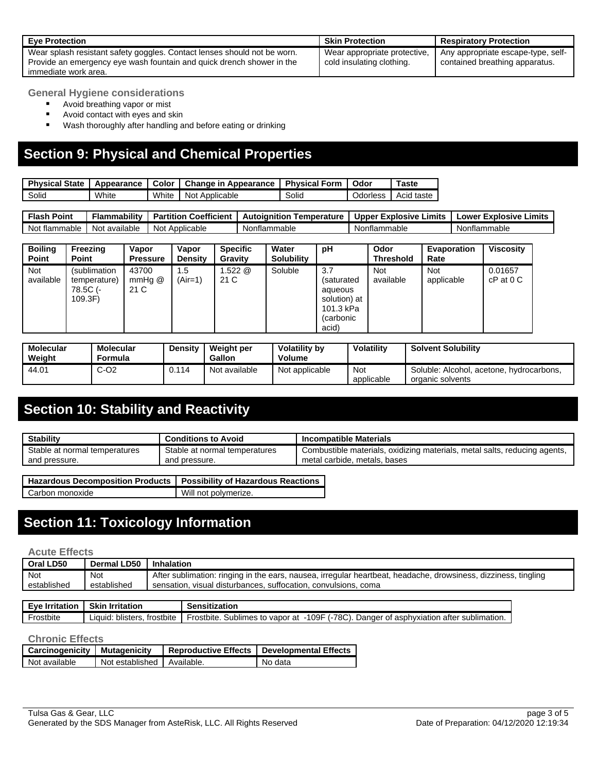| <b>Eve Protection</b>                                                                                                                             | <b>Skin Protection</b>                                    | <b>Respiratory Protection</b>                                        |
|---------------------------------------------------------------------------------------------------------------------------------------------------|-----------------------------------------------------------|----------------------------------------------------------------------|
| Wear splash resistant safety goggles. Contact lenses should not be worn.<br>Provide an emergency eye wash fountain and quick drench shower in the | Wear appropriate protective.<br>cold insulating clothing. | Any appropriate escape-type, self-<br>contained breathing apparatus. |
| immediate work area.                                                                                                                              |                                                           |                                                                      |

**General Hygiene considerations**

- Avoid breathing vapor or mist
- Avoid contact with eyes and skin
- Wash thoroughly after handling and before eating or drinking

#### **Section 9: Physical and Chemical Properties**

| <b>Physical State I</b> | Appearance |       | Color   Change in Appearance   Physical Form |       | Odor            | Taste      |
|-------------------------|------------|-------|----------------------------------------------|-------|-----------------|------------|
| Solid                   | White      | White | Not Applicable                               | Solid | <b>Jdorless</b> | Acid taste |

**Flash Point Flammability Partition Coefficient Autoignition Temperature Upper Explosive Limits Lower Explosive Limits** Not flammable Not available Not Applicable Nonflammable Nonflammable Nonflammable Nonflammable

| <b>Boiling</b><br>Point | Freezing<br><b>Point</b>                            | Vapor<br><b>Pressure</b>     | Vapor<br><b>Density</b> | <b>Specific</b><br>Gravity | Water<br><b>Solubility</b> | рH                                                                              | Odor<br><b>Threshold</b> | <b>Evaporation</b><br>Rate | <b>Viscosity</b>        |
|-------------------------|-----------------------------------------------------|------------------------------|-------------------------|----------------------------|----------------------------|---------------------------------------------------------------------------------|--------------------------|----------------------------|-------------------------|
| Not<br>available        | (sublimation<br>temperature)<br>78.5C (-<br>109.3F) | 43700<br>$mm$ Hq $@$<br>21 C | 1.5<br>(Air=1)          | .522@<br>21 C              | Soluble                    | 3.7<br>(saturated<br>aqueous<br>solution) at<br>101.3 kPa<br>(carbonic<br>acid) | Not<br>available         | <b>Not</b><br>applicable   | 0.01657<br>$cP$ at $0C$ |

| <b>Molecular</b><br>Weight | <b>Molecular</b><br>Formula | <b>Density</b> | Weight per<br><b>Gallon</b> | Volatility by<br>Volume | <b>Volatility</b> | <b>Solvent Solubility</b>                                    |
|----------------------------|-----------------------------|----------------|-----------------------------|-------------------------|-------------------|--------------------------------------------------------------|
| 44.01                      | $C-O2$                      | 0.114          | Not available               | Not applicable          | Not<br>applicable | Soluble: Alcohol, acetone, hydrocarbons,<br>organic solvents |

# **Section 10: Stability and Reactivity**

| <b>Stability</b>                                               | <b>Conditions to Avoid</b>                     | <b>Incompatible Materials</b>                                                                             |  |  |
|----------------------------------------------------------------|------------------------------------------------|-----------------------------------------------------------------------------------------------------------|--|--|
| Stable at normal temperatures<br>and pressure.                 | Stable at normal temperatures<br>and pressure. | Combustible materials, oxidizing materials, metal salts, reducing agents,<br>metal carbide, metals, bases |  |  |
| .<br>.<br>$\overline{\phantom{0}}$<br>$\overline{\phantom{0}}$ | <br>.<br>$\overline{\phantom{0}}$              |                                                                                                           |  |  |

| Hazardous Decomposition Products   Possibility of Hazardous Reactions |                      |
|-----------------------------------------------------------------------|----------------------|
| Carbon monoxide                                                       | Will not polymerize. |

### **Section 11: Toxicology Information**

#### **Acute Effects**

| Oral LD50   | Dermal LD50 | Inhalation                                                                                                     |
|-------------|-------------|----------------------------------------------------------------------------------------------------------------|
| Not         | Not         | After sublimation: ringing in the ears, nausea, irregular heartbeat, headache, drowsiness, dizziness, tingling |
| established | established | sensation, visual disturbances, suffocation, convulsions, coma                                                 |

|                                                                                                                      |                               | Skin<br><b>Irritation</b> | <b>Fue</b><br>Irritation |
|----------------------------------------------------------------------------------------------------------------------|-------------------------------|---------------------------|--------------------------|
| 109F<br>vapor at<br>trostbite<br>Frostbite.<br>Danger<br>blisters.<br>Sublimes<br>of asphyxiation<br>∟iauid: ∶<br>to | 78C).<br>n after sublimation. |                           | rostbite                 |

#### **Chronic Effects**

| Carcinogenicity Mutagenicity |                            | Reproductive Effects   Developmental Effects |
|------------------------------|----------------------------|----------------------------------------------|
| Not available                | Not established Available. | No data                                      |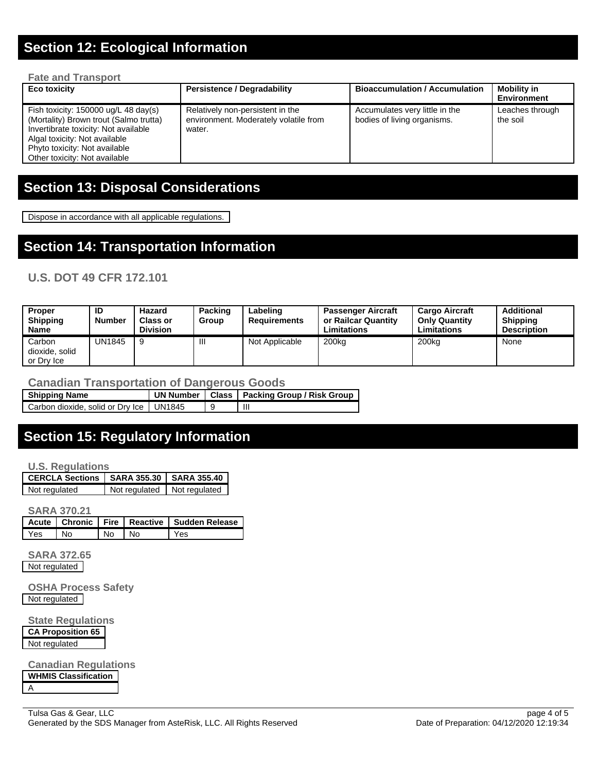### **Section 12: Ecological Information**

#### **Fate and Transport**

| Eco toxicity                                                                                                                                                                                                                        | <b>Persistence / Degradability</b>                                                  | <b>Bioaccumulation / Accumulation</b>                         | <b>Mobility in</b><br>Environment |
|-------------------------------------------------------------------------------------------------------------------------------------------------------------------------------------------------------------------------------------|-------------------------------------------------------------------------------------|---------------------------------------------------------------|-----------------------------------|
| Fish toxicity: $150000 \text{ ug/L}$ 48 day(s)<br>(Mortality) Brown trout (Salmo trutta)<br>Invertibrate toxicity: Not available<br>Algal toxicity: Not available<br>Phyto toxicity: Not available<br>Other toxicity: Not available | Relatively non-persistent in the<br>environment. Moderately volatile from<br>water. | Accumulates very little in the<br>bodies of living organisms. | Leaches through<br>the soil       |

#### **Section 13: Disposal Considerations**

Dispose in accordance with all applicable regulations.

#### **Section 14: Transportation Information**

#### **U.S. DOT 49 CFR 172.101**

| <b>Proper</b><br><b>Shipping</b><br><b>Name</b> | ID<br><b>Number</b> | Hazard<br><b>Class or</b><br><b>Division</b> | Packing<br>Group | Labeling<br><b>Requirements</b> | <b>Passenger Aircraft</b><br>or Railcar Quantity<br><b>Limitations</b> | <b>Cargo Aircraft</b><br><b>Only Quantity</b><br><b>Limitations</b> | <b>Additional</b><br><b>Shipping</b><br><b>Description</b> |
|-------------------------------------------------|---------------------|----------------------------------------------|------------------|---------------------------------|------------------------------------------------------------------------|---------------------------------------------------------------------|------------------------------------------------------------|
| Carbon<br>dioxide, solid<br>or Drv Ice          | UN1845              | 9                                            | Ш                | Not Applicable                  | 200 <sub>kg</sub>                                                      | 200 <sub>kg</sub>                                                   | None                                                       |

#### **Canadian Transportation of Dangerous Goods**

| <b>Shipping Name</b>                      |  | UN Number   Class   Packing Group / Risk Group |
|-------------------------------------------|--|------------------------------------------------|
| Carbon dioxide, solid or Dry Ice   UN1845 |  | Ш                                              |

### **Section 15: Regulatory Information**

**U.S. Regulations**

| CERCLA Sections   SARA 355.30   SARA 355.40 |                             |
|---------------------------------------------|-----------------------------|
| Not regulated                               | Not regulated Not regulated |

**SARA 370.21**

|     |    |       | Acute   Chronic   Fire   Reactive   Sudden Release |
|-----|----|-------|----------------------------------------------------|
| Yes | Nο | No No | Yes                                                |

**SARA 372.65** Not regulated

**OSHA Process Safety** Not regulated

**State Regulations**

**CA Proposition 65** Not regulated

**Canadian Regulations WHMIS Classification** A